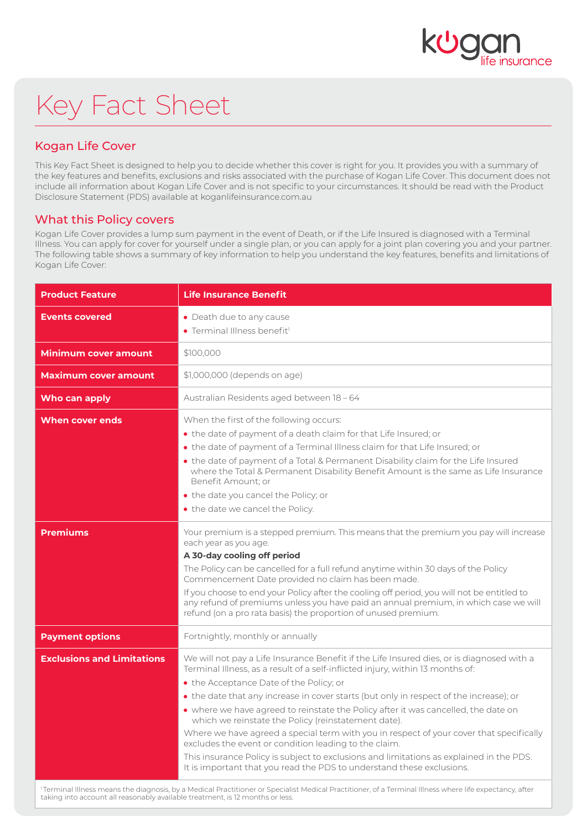

# Key Fact Sheet

## Kogan Life Cover

This Key Fact Sheet is designed to help you to decide whether this cover is right for you. It provides you with a summary of the key features and benefits, exclusions and risks associated with the purchase of Kogan Life Cover. This document does not include all information about Kogan Life Cover and is not specific to your circumstances. It should be read with the Product Disclosure Statement (PDS) available at koganlifeinsurance.com.au

#### What this Policy covers

Kogan Life Cover provides a lump sum payment in the event of Death, or if the Life Insured is diagnosed with a Terminal Illness. You can apply for cover for yourself under a single plan, or you can apply for a joint plan covering you and your partner. The following table shows a summary of key information to help you understand the key features, benefits and limitations of Kogan Life Cover:

| • Death due to any cause<br>• Terminal Illness benefit <sup>1</sup>                                                                                                                                                                                                                                                                                                                                                                                                                                                                                                                                                                                                                                                                                                                   |
|---------------------------------------------------------------------------------------------------------------------------------------------------------------------------------------------------------------------------------------------------------------------------------------------------------------------------------------------------------------------------------------------------------------------------------------------------------------------------------------------------------------------------------------------------------------------------------------------------------------------------------------------------------------------------------------------------------------------------------------------------------------------------------------|
| \$100,000                                                                                                                                                                                                                                                                                                                                                                                                                                                                                                                                                                                                                                                                                                                                                                             |
| \$1,000,000 (depends on age)                                                                                                                                                                                                                                                                                                                                                                                                                                                                                                                                                                                                                                                                                                                                                          |
| Australian Residents aged between 18-64                                                                                                                                                                                                                                                                                                                                                                                                                                                                                                                                                                                                                                                                                                                                               |
| When the first of the following occurs:<br>• the date of payment of a death claim for that Life Insured; or<br>. the date of payment of a Terminal Illness claim for that Life Insured; or<br>. the date of payment of a Total & Permanent Disability claim for the Life Insured<br>where the Total & Permanent Disability Benefit Amount is the same as Life Insurance<br>Benefit Amount: or<br>. the date you cancel the Policy; or<br>• the date we cancel the Policy.                                                                                                                                                                                                                                                                                                             |
| Your premium is a stepped premium. This means that the premium you pay will increase<br>each year as you age.<br>A 30-day cooling off period<br>The Policy can be cancelled for a full refund anytime within 30 days of the Policy<br>Commencement Date provided no claim has been made.<br>If you choose to end your Policy after the cooling off period, you will not be entitled to<br>any refund of premiums unless you have paid an annual premium, in which case we will<br>refund (on a pro rata basis) the proportion of unused premium.                                                                                                                                                                                                                                      |
| Fortnightly, monthly or annually                                                                                                                                                                                                                                                                                                                                                                                                                                                                                                                                                                                                                                                                                                                                                      |
| We will not pay a Life Insurance Benefit if the Life Insured dies, or is diagnosed with a<br>Terminal Illness, as a result of a self-inflicted injury, within 13 months of:<br>• the Acceptance Date of the Policy; or<br>• the date that any increase in cover starts (but only in respect of the increase); or<br>• where we have agreed to reinstate the Policy after it was cancelled, the date on<br>which we reinstate the Policy (reinstatement date).<br>Where we have agreed a special term with you in respect of your cover that specifically<br>excludes the event or condition leading to the claim.<br>This insurance Policy is subject to exclusions and limitations as explained in the PDS.<br>It is important that you read the PDS to understand these exclusions. |
|                                                                                                                                                                                                                                                                                                                                                                                                                                                                                                                                                                                                                                                                                                                                                                                       |

<sup>1</sup>Terminal Illness means the diagnosis, by a Medical Practitioner or Specialist Medical Practitioner, of a Terminal Illness where life expectancy, after<br>taking into account all reasonably available treatment, is 12 months